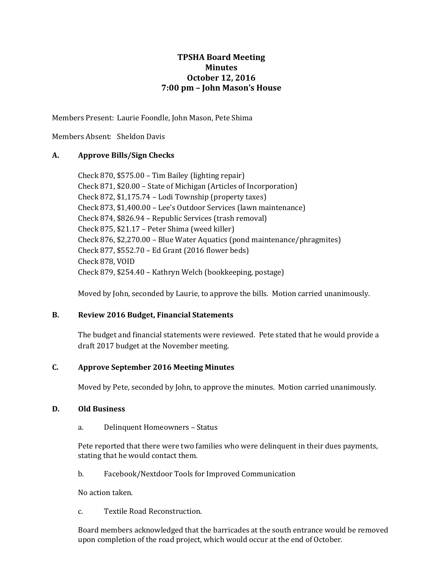# **TPSHA Board Meeting Minutes October 12, 2016 7:00 pm – John Mason's House**

Members Present: Laurie Foondle, John Mason, Pete Shima

Members Absent: Sheldon Davis

### **A. Approve Bills/Sign Checks**

Check 870, \$575.00 – Tim Bailey (lighting repair) Check 871, \$20.00 – State of Michigan (Articles of Incorporation) Check 872, \$1,175.74 – Lodi Township (property taxes) Check 873, \$1,400.00 – Lee's Outdoor Services (lawn maintenance) Check 874, \$826.94 – Republic Services (trash removal) Check 875, \$21.17 – Peter Shima (weed killer) Check 876, \$2,270.00 – Blue Water Aquatics (pond maintenance/phragmites) Check 877, \$552.70 – Ed Grant (2016 flower beds) Check 878, VOID Check 879, \$254.40 – Kathryn Welch (bookkeeping, postage)

Moved by John, seconded by Laurie, to approve the bills. Motion carried unanimously.

### **B. Review 2016 Budget, Financial Statements**

The budget and financial statements were reviewed. Pete stated that he would provide a draft 2017 budget at the November meeting.

### **C. Approve September 2016 Meeting Minutes**

Moved by Pete, seconded by John, to approve the minutes. Motion carried unanimously.

### **D. Old Business**

a. Delinquent Homeowners – Status

Pete reported that there were two families who were delinquent in their dues payments, stating that he would contact them.

b. Facebook/Nextdoor Tools for Improved Communication

No action taken.

c. Textile Road Reconstruction.

Board members acknowledged that the barricades at the south entrance would be removed upon completion of the road project, which would occur at the end of October.